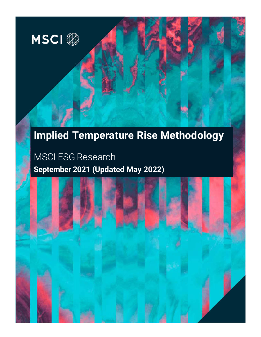

# **[Implied Temperature Rise](file://int.msci.com/root/London/lib/Marketing/London/Design/2021/ESG/ImpliedTemperatureRise/paper%20cover/FundRatingsReport-cover-cbr-en1.jpg) Methodology**

Document type

# MSCI ESG Research **September 2021 (Updated May 2022)**

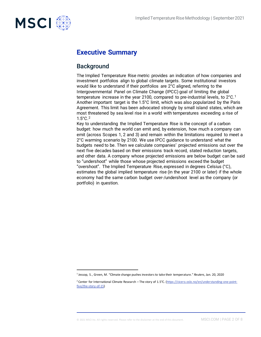

# **Executive Summary**

### **Background**

The Implied Temperature Rise metric provides an indication of how companies and investment portfolios align to global climate targets. Some institutional investors would like to understand if their portfolios are 2°C aligned, referring to the Intergovernmental Panel on Climate Change (IPCC) goal of limiting the global temperature increase in the year 2[1](#page-1-0)00, compared to pre-industrial levels, to  $2^{\circ}$ C.<sup>1</sup> Another important target is the 1.5°C limit, which was also popularized by the Paris Agreement. This limit has been advocated strongly by small island states, which are most threatened by sea level rise in a world with temperatures exceeding a rise of 1.5°C.[2](#page-1-1)

Key to understanding the Implied Temperature Rise is the concept of a carbon budget: how much the world can emit and, by extension, how much a company can emit (across Scopes 1, 2 and 3) and remain within the limitations required to meet a 2°C warming scenario by 2100. We use IPCC guidance to understand what the budgets need to be. Then we calculate companies' projected emissions out over the next five decades based on their emissions track record, stated reduction targets, and other data. A company whose projected emissions are below budget can be said to "undershoot" while those whose projected emissions exceed the budget "overshoot". The Implied Temperature Rise, expressed in degrees Celsius (°C), estimates the global implied temperature rise (in the year 2100 or later) if the whole economy had the same carbon budget over-/undershoot level as the company (or portfolio) in question.

<span id="page-1-1"></span><span id="page-1-0"></span><sup>1</sup> Jessop, S., Green, M. "Climate change pushes investors to take their temperature." *Reuters*, Jan. 20, 2020

<sup>&</sup>lt;sup>2</sup> Center for International Climate Research – The story of 1.5°C. [\(https://cicero.oslo.no/en/understanding-one-point](https://cicero.oslo.no/en/understanding-one-point-five/the-story-of-15)[five/the-story-of-15\)](https://cicero.oslo.no/en/understanding-one-point-five/the-story-of-15)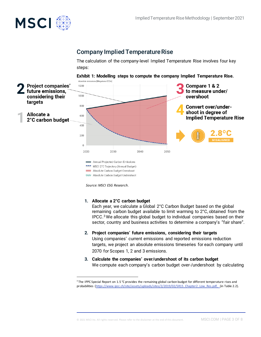

### Company Implied Temperature Rise

The calculation of the company-level Implied Temperature Rise involves four key steps:





*Source: MSCI ESG Research.*

#### **1. Allocate a 2°C carbon budget**

Each year, we calculate a Global 2°C Carbon Budget based on the global remaining carbon budget available to limit warming to 2°C, obtained from the  $IPCC<sup>3</sup>$  $IPCC<sup>3</sup>$  $IPCC<sup>3</sup>$  We allocate this global budget to individual companies based on their sector, country and business activities to determine a company's "fair share".

- **2. Project companies' future emissions, considering their targets** Using companies' current emissions and reported emissions reduction targets, we project an absolute emissions timeseries for each company until 2070 for Scopes 1, 2 and 3 emissions.
- **3. Calculate the companies' over/undershoot of its carbon budget** We compute each company's carbon budget over-/undershoot by calculating

<span id="page-2-0"></span><sup>&</sup>lt;sup>3</sup> The IPPC Special Report on 1.5 °C provides the remaining global carbon budget for different temperature rises and probabilities [\(https://www.ipcc.ch/site/assets/uploads/sites/2/2019/02/SR15\\_Chapter2\\_Low\\_Res.pdf,](https://www.ipcc.ch/site/assets/uploads/sites/2/2019/02/SR15_Chapter2_Low_Res.pdf) (in Table 2.2).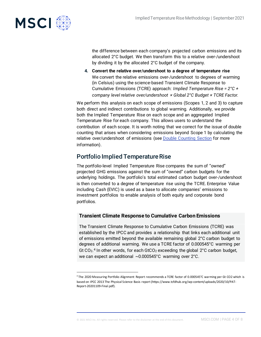

the difference between each company's projected carbon emissions and its allocated 2°C budget. We then transform this to a relative over-/undershoot by dividing it by the allocated 2°C budget of the company.

**4. Convert the relative over/undershoot to a degree of temperature rise** We convert the relative emissions over-/undershoot to degrees of warming (in Celsius) using the science-based Transient Climate Response to Cumulative Emissions (TCRE) approach: *Implied Temperature Rise = 2°C + company level relative over/undershoot × Global 2°C Budget × TCRE Factor.*

We perform this analysis on each scope of emissions (Scopes 1, 2 and 3) to capture both direct and indirect contributions to global warming. Additionally, we provide both the Implied Temperature Rise on each scope and an aggregated Implied Temperature Rise for each company. This allows users to understand the contribution of each scope. It is worth noting that we correct for the issue of double counting that arises when considering emissions beyond Scope 1 by calculating the relative over/undershoot of emissions (see Double Counting Section for more information).

## Portfolio Implied Temperature Rise

The portfolio-level Implied Temperature Rise compares the sum of "owned" projected GHG emissions against the sum of "owned" carbon budgets for the underlying holdings. The portfolio's total estimated carbon budget over-/undershoot is then converted to a degree of temperature rise using the TCRE. Enterprise Value including Cash (EVIC) is used as a base to allocate companies' emissions to investment portfolios to enable analysis of both equity and corporate bond portfolios.

### **Transient Climate Response to Cumulative Carbon Emissions**

The Transient Climate Response to Cumulative Carbon Emissions (TCRE) was established by the IPCC and provides a relationship that links each additional unit of emissions emitted beyond the available remaining global 2°C carbon budget to degrees of additional warming. We use a TCRE factor of 0.000545°C warming per Gt  $CO<sub>2</sub>$ .<sup>[4](#page-3-0)</sup> In other words, for each GtCO<sub>2</sub> exceeding the global  $2^{\circ}$ C carbon budget, we can expect an additional ~0.000545°C warming over 2°C.

<span id="page-3-0"></span><sup>4</sup> The 2020 Measuring Portfolio Alignment Report recommends a TCRE factor of 0.000545°C warming per Gt CO2 which is based on IPCC 2013 The Physical Science Basis report (https://www.tcfdhub.org/wp-content/uploads/2020/10/PAT-Report-20201109-Final.pdf).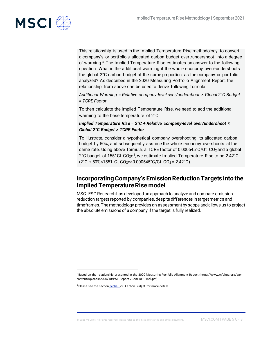

This relationship is used in the Implied Temperature Rise methodology to convert a company's or portfolio's allocated carbon budget over-/undershoot into a degree of warming.[5](#page-4-0) The Implied Temperature Rise estimates an answer to the following question: What is the additional warming if the whole economy over/-undershoots the global 2°C carbon budget at the same proportion as the company or portfolio analyzed? As described in the 2020 Measuring Portfolio Alignment Report, the relationship from above can be used to derive following formula:

*Additional Warming = Relative company-level over/undershoot × Global 2°C Budget × TCRE Factor*

To then calculate the Implied Temperature Rise, we need to add the additional warming to the base temperature of 2°C:

### *Implied Temperature Rise = 2°C + Relative company-level over/undershoot × Global 2°C Budget × TCRE Factor*

To illustrate, consider a hypothetical company overshooting its allocated carbon budget by 50%, and subsequently assume the whole economy overshoots at the same rate. Using above formula, a TCRE factor of 0.000545°C/Gt CO<sub>2</sub> and a global 2°C budget of 1551Gt  $CO<sub>2</sub>e<sup>6</sup>$ , we estimate Implied Temperature Rise to be 2.42°C  $(2^{\circ}C + 50\% \times 1551 \text{ Gt C0}_2 \text{e} \times 0.000545 \text{ C/Gt C0}_2 = 2.42 \text{ }^{\circ}C).$ 

## **Incorporating Company's Emission Reduction Targets into the Implied Temperature Rise model**

MSCI ESG Research has developed an approach to analyze and compare emission reduction targets reported by companies, despite differences in target metrics and timeframes. The methodology provides an assessment by scope and allows us to project the absolute emissions of a company if the target is fully realized.

<span id="page-4-1"></span><span id="page-4-0"></span><sup>5</sup> Based on the relationship presented in the 2020 Measuring Portfolio Alignment Report (https://www.tcfdhub.org/wpcontent/uploads/2020/10/PAT-Report-20201109-Final.pdf)

<sup>&</sup>lt;sup>6</sup> Please see the section\_Global\_2°C Carbon Budget for more details.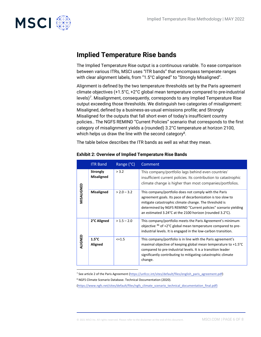

# **Implied Temperature Rise bands**

The Implied Temperature Rise output is a continuous variable. To ease comparison between various ITRs, MSCI uses "ITR bands" that encompass temperate ranges with clear alignment labels, from "1.5°C aligned" to "Strongly Misaligned".

Alignment is defined by the two temperature thresholds set by the Paris agreement climate objectives (+1.5°C, +2°C global mean temperature compared to pre-industrial levels)<sup>[7](#page-5-0)</sup>. Misalignment, consequently, corresponds to any Implied Temperature Rise output exceeding those thresholds. We distinguish two categories of misalignment: Misaligned, defined by a business-as-usual emissions profile; and Strongly Misaligned for the outputs that fall short even of today's insufficient country policies.. The NGFS REMIND "Current Policies" scenario that corresponds to the first category of misalignment yields a (rounded) 3.2°C temperature at horizon 2100, which helps us draw the line with the second category<sup>[8](#page-5-1)</sup>.

The table below describes the ITR bands as well as what they mean.

|            | <b>ITR Band</b>                      | Range (°C)    | Comment                                                                                                                                                                                                                                                                                                      |
|------------|--------------------------------------|---------------|--------------------------------------------------------------------------------------------------------------------------------------------------------------------------------------------------------------------------------------------------------------------------------------------------------------|
| MISALIGNED | <b>Strongly</b><br><b>Misaligned</b> | > 3.2         | This company/portfolio lags behind even countries'<br>insufficient current policies. Its contribution to catastrophic<br>climate change is higher than most companies/portfolios.                                                                                                                            |
|            | <b>Misaligned</b>                    | $> 2.0 - 3.2$ | This company/portfolio does not comply with the Paris<br>agreement goals. Its pace of decarbonization is too slow to<br>mitigate catastrophic climate change. The threshold is<br>determined by NGFS REMIND "Current policies" scenario yielding<br>an estimated 3.24°C at the 2100 horizon (rounded 3.2°C). |
| ALIGNED    | 2°C Aligned                          | $> 1.5 - 2.0$ | This company/portfolio meets the Paris Agreement's minimum<br>objective <sup>46</sup> of +2°C global mean temperature compared to pre-<br>industrial levels. It is engaged in the low-carbon transition.                                                                                                     |
|            | $1.5^{\circ}$ C<br>Aligned           | $<=1.5$       | This company/portfolio is in line with the Paris agreement's<br>maximal objective of keeping global mean temperature to +1.5°C<br>compared to pre-industrial levels. It is a transition leader<br>significantly contributing to mitigating catastrophic climate<br>change.                                   |

#### **Exhibit 2: Overview of Implied Temperature Rise Bands**

<span id="page-5-1"></span><span id="page-5-0"></span><sup>7</sup> See article 2 of the Paris Agreement (https://unfccc.int/sites/default/files/english\_paris\_agreement.pdf)

8 NGFS Climate Scenario Database. Technical [Documentation \(2020\).](https://www.ngfs.net/sites/default/files/ngfs_climate_scenario_technical_documentation_final.pdf) 

<span id="page-5-2"></span>(https://www.ngfs.net/sites/default/files/ngfs\_climate\_scenario\_technical\_documentation\_final.pdf)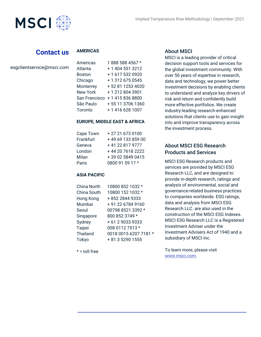

## **Contact us**

### **AMERICAS**

| esgclientservice@msci.com |  |
|---------------------------|--|
|---------------------------|--|

| Americas        | 1 888 588 4567 *  |
|-----------------|-------------------|
| Atlanta         | + 1 404 551 3212  |
| <b>Boston</b>   | +16175320920      |
| Chicago         | + 1 312 675 0545  |
| Monterrey       | + 52 81 1253 4020 |
| <b>New York</b> | +12128043901      |
| San Francisco   | +14158368800      |
| São Paulo       | +55 11 3706 1360  |
| Toronto         | + 1 416 628 1007  |

 $\overline{A}$  888  $\overline{B}$ 888  $\overline{B}$ 888  $\overline{B}$ 

### **EUROPE, MIDDLE EAST & AFRICA**

| Cape Town | +27216730100      |
|-----------|-------------------|
| Frankfurt | +49 69 133 859 00 |
| Geneva    | +41 22 817 9777   |
| London    | +44 20 7618 2222  |
| Milan     | +39 02 5849 0415  |
| Paris     | 0800 91 59 17 *   |

### **ASIA PACIFIC**

| China North     | 10800 852 1032 *      |
|-----------------|-----------------------|
| China South     | 10800 152 1032 *      |
| Hong Kong       | +852 2844 9333        |
| Mumbai          | +91 22 6784 9160      |
| Seoul           | 00798 8521 3392 *     |
| Singapore       | 800 852 3749 *        |
| Sydney          | +61290339333          |
| <b>Taipei</b>   | 008 0112 7513 *       |
| <b>Thailand</b> | 0018 0015 6207 7181 * |
| Tokyo           | + 81 3 5290 1555      |
|                 |                       |

 $* =$  toll free

### About MSCI

MSCI is a leading provider of critical decision support tools and services for the global investment community. With over 50 years of expertise in research, data and technology, we power better investment decisions by enabling clients to understand and analyze key drivers of risk and return and confidently build more effective portfolios. We create industry-leading research-enhanced solutions that clients use to gain insight into and improve transparency across the investment process.

### About MSCI ESG Research Products and Services

MSCI ESG Research products and services are provided by MSCI ESG Research LLC, and are designed to provide in-depth research, ratings and analysis of environmental, social and governance-related business practices to companies worldwide. ESG ratings, data and analysis from MSCI ESG Research LLC. are also used in the construction of the MSCI ESG Indexes. MSCI ESG Research LLC is a Registered Investment Adviser under the Investment Advisers Act of 1940 and a subsidiary of MSCI Inc.

To learn more, please visit www.msci.com.